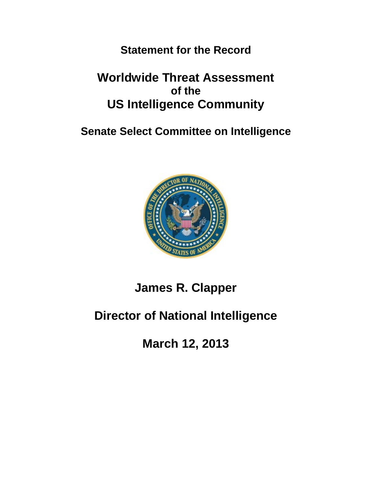# **Statement for the Record**

# **Worldwide Threat Assessment of the US Intelligence Community**

# **Senate Select Committee on Intelligence**



# **James R. Clapper**

# **Director of National Intelligence**

**March 12, 2013**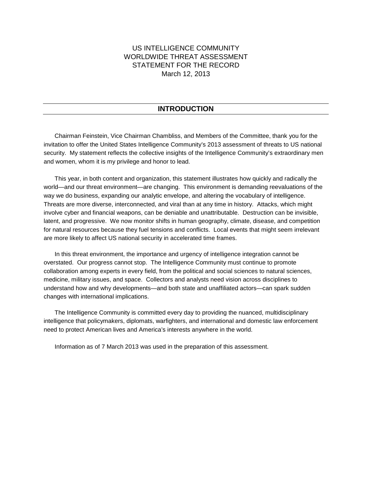# US INTELLIGENCE COMMUNITY WORLDWIDE THREAT ASSESSMENT STATEMENT FOR THE RECORD March 12, 2013

# **INTRODUCTION**

Chairman Feinstein, Vice Chairman Chambliss, and Members of the Committee, thank you for the invitation to offer the United States Intelligence Community's 2013 assessment of threats to US national security. My statement reflects the collective insights of the Intelligence Community's extraordinary men and women, whom it is my privilege and honor to lead.

This year, in both content and organization, this statement illustrates how quickly and radically the world—and our threat environment—are changing. This environment is demanding reevaluations of the way we do business, expanding our analytic envelope, and altering the vocabulary of intelligence. Threats are more diverse, interconnected, and viral than at any time in history. Attacks, which might involve cyber and financial weapons, can be deniable and unattributable. Destruction can be invisible, latent, and progressive. We now monitor shifts in human geography, climate, disease, and competition for natural resources because they fuel tensions and conflicts. Local events that might seem irrelevant are more likely to affect US national security in accelerated time frames.

In this threat environment, the importance and urgency of intelligence integration cannot be overstated. Our progress cannot stop. The Intelligence Community must continue to promote collaboration among experts in every field, from the political and social sciences to natural sciences, medicine, military issues, and space. Collectors and analysts need vision across disciplines to understand how and why developments—and both state and unaffiliated actors—can spark sudden changes with international implications.

The Intelligence Community is committed every day to providing the nuanced, multidisciplinary intelligence that policymakers, diplomats, warfighters, and international and domestic law enforcement need to protect American lives and America's interests anywhere in the world.

Information as of 7 March 2013 was used in the preparation of this assessment.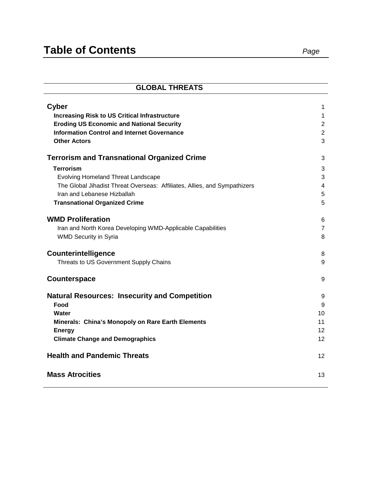| <b>GLOBAL THREATS</b>                                                     |                   |  |
|---------------------------------------------------------------------------|-------------------|--|
| <b>Cyber</b>                                                              | 1                 |  |
| <b>Increasing Risk to US Critical Infrastructure</b>                      | 1                 |  |
| <b>Eroding US Economic and National Security</b>                          | $\overline{2}$    |  |
| <b>Information Control and Internet Governance</b>                        | $\overline{2}$    |  |
| <b>Other Actors</b>                                                       | 3                 |  |
| <b>Terrorism and Transnational Organized Crime</b>                        | 3                 |  |
| <b>Terrorism</b>                                                          | 3                 |  |
| <b>Evolving Homeland Threat Landscape</b>                                 | 3                 |  |
| The Global Jihadist Threat Overseas: Affiliates, Allies, and Sympathizers | 4                 |  |
| Iran and Lebanese Hizballah                                               | 5                 |  |
| <b>Transnational Organized Crime</b>                                      | 5                 |  |
| <b>WMD Proliferation</b>                                                  | 6                 |  |
| Iran and North Korea Developing WMD-Applicable Capabilities               | $\overline{7}$    |  |
| <b>WMD Security in Syria</b>                                              | 8                 |  |
| <b>Counterintelligence</b>                                                | 8                 |  |
| Threats to US Government Supply Chains                                    | 9                 |  |
| Counterspace                                                              | 9                 |  |
| <b>Natural Resources: Insecurity and Competition</b>                      | 9                 |  |
| Food                                                                      | 9                 |  |
| Water                                                                     | 10                |  |
| Minerals: China's Monopoly on Rare Earth Elements                         | 11                |  |
| <b>Energy</b>                                                             | $12 \overline{ }$ |  |
| <b>Climate Change and Demographics</b>                                    | 12 <sup>2</sup>   |  |
| <b>Health and Pandemic Threats</b>                                        | 12                |  |
| <b>Mass Atrocities</b>                                                    | 13                |  |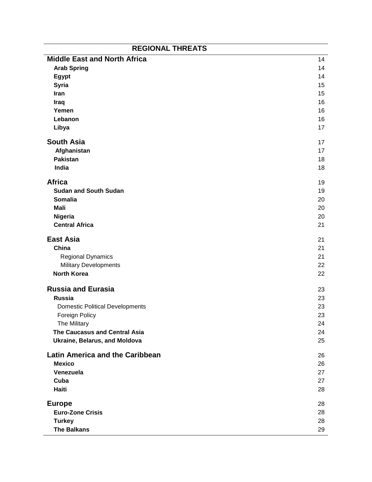| <b>REGIONAL THREATS</b>                |          |
|----------------------------------------|----------|
| <b>Middle East and North Africa</b>    | 14       |
| <b>Arab Spring</b>                     | 14       |
| Egypt                                  | 14       |
| <b>Syria</b>                           | 15       |
| Iran                                   | 15       |
| Iraq                                   | 16       |
| Yemen                                  | 16       |
| Lebanon<br>Libya                       | 16<br>17 |
|                                        |          |
| <b>South Asia</b>                      | 17       |
| Afghanistan                            | 17       |
| <b>Pakistan</b>                        | 18       |
| <b>India</b>                           | 18       |
| <b>Africa</b>                          | 19       |
| <b>Sudan and South Sudan</b>           | 19       |
| <b>Somalia</b>                         | 20       |
| <b>Mali</b>                            | 20       |
| Nigeria                                | 20       |
| <b>Central Africa</b>                  | 21       |
| <b>East Asia</b>                       | 21       |
| China                                  | 21       |
| <b>Regional Dynamics</b>               | 21       |
| <b>Military Developments</b>           | 22       |
| <b>North Korea</b>                     | 22       |
| <b>Russia and Eurasia</b>              | 23       |
| <b>Russia</b>                          | 23       |
| <b>Domestic Political Developments</b> | 23       |
| Foreign Policy                         | 23       |
| The Military                           | 24       |
| The Caucasus and Central Asia          | 24       |
| Ukraine, Belarus, and Moldova          | 25       |
| <b>Latin America and the Caribbean</b> | 26       |
| <b>Mexico</b>                          | 26       |
| Venezuela                              | 27       |
| Cuba                                   | 27       |
| Haiti                                  | 28       |
| <b>Europe</b>                          | 28       |
| <b>Euro-Zone Crisis</b>                | 28       |
| <b>Turkey</b>                          | 28       |
| <b>The Balkans</b>                     | 29       |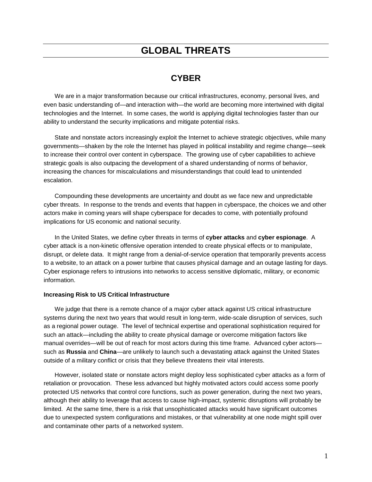# **GLOBAL THREATS**

# **CYBER**

We are in a major transformation because our critical infrastructures, economy, personal lives, and even basic understanding of—and interaction with—the world are becoming more intertwined with digital technologies and the Internet. In some cases, the world is applying digital technologies faster than our ability to understand the security implications and mitigate potential risks.

State and nonstate actors increasingly exploit the Internet to achieve strategic objectives, while many governments—shaken by the role the Internet has played in political instability and regime change—seek to increase their control over content in cyberspace. The growing use of cyber capabilities to achieve strategic goals is also outpacing the development of a shared understanding of norms of behavior, increasing the chances for miscalculations and misunderstandings that could lead to unintended escalation.

Compounding these developments are uncertainty and doubt as we face new and unpredictable cyber threats. In response to the trends and events that happen in cyberspace, the choices we and other actors make in coming years will shape cyberspace for decades to come, with potentially profound implications for US economic and national security.

In the United States, we define cyber threats in terms of **cyber attacks** and **cyber espionage**. A cyber attack is a non-kinetic offensive operation intended to create physical effects or to manipulate, disrupt, or delete data. It might range from a denial-of-service operation that temporarily prevents access to a website, to an attack on a power turbine that causes physical damage and an outage lasting for days. Cyber espionage refers to intrusions into networks to access sensitive diplomatic, military, or economic information.

#### **Increasing Risk to US Critical Infrastructure**

We judge that there is a remote chance of a major cyber attack against US critical infrastructure systems during the next two years that would result in long-term, wide-scale disruption of services, such as a regional power outage. The level of technical expertise and operational sophistication required for such an attack—including the ability to create physical damage or overcome mitigation factors like manual overrides—will be out of reach for most actors during this time frame. Advanced cyber actors such as **Russia** and **China**—are unlikely to launch such a devastating attack against the United States outside of a military conflict or crisis that they believe threatens their vital interests.

However, isolated state or nonstate actors might deploy less sophisticated cyber attacks as a form of retaliation or provocation. These less advanced but highly motivated actors could access some poorly protected US networks that control core functions, such as power generation, during the next two years, although their ability to leverage that access to cause high-impact, systemic disruptions will probably be limited. At the same time, there is a risk that unsophisticated attacks would have significant outcomes due to unexpected system configurations and mistakes, or that vulnerability at one node might spill over and contaminate other parts of a networked system.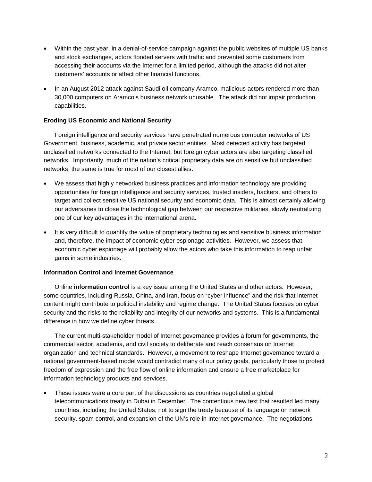- Within the past year, in a denial-of-service campaign against the public websites of multiple US banks and stock exchanges, actors flooded servers with traffic and prevented some customers from accessing their accounts via the Internet for a limited period, although the attacks did not alter customers' accounts or affect other financial functions.
- In an August 2012 attack against Saudi oil company Aramco, malicious actors rendered more than 30,000 computers on Aramco's business network unusable. The attack did not impair production capabilities.

## **Eroding US Economic and National Security**

Foreign intelligence and security services have penetrated numerous computer networks of US Government, business, academic, and private sector entities. Most detected activity has targeted unclassified networks connected to the Internet, but foreign cyber actors are also targeting classified networks. Importantly, much of the nation's critical proprietary data are on sensitive but unclassified networks; the same is true for most of our closest allies.

- We assess that highly networked business practices and information technology are providing opportunities for foreign intelligence and security services, trusted insiders, hackers, and others to target and collect sensitive US national security and economic data. This is almost certainly allowing our adversaries to close the technological gap between our respective militaries, slowly neutralizing one of our key advantages in the international arena.
- It is very difficult to quantify the value of proprietary technologies and sensitive business information and, therefore, the impact of economic cyber espionage activities. However, we assess that economic cyber espionage will probably allow the actors who take this information to reap unfair gains in some industries.

#### **Information Control and Internet Governance**

Online **information control** is a key issue among the United States and other actors. However, some countries, including Russia, China, and Iran, focus on "cyber influence" and the risk that Internet content might contribute to political instability and regime change. The United States focuses on cyber security and the risks to the reliability and integrity of our networks and systems. This is a fundamental difference in how we define cyber threats.

The current multi-stakeholder model of Internet governance provides a forum for governments, the commercial sector, academia, and civil society to deliberate and reach consensus on Internet organization and technical standards. However, a movement to reshape Internet governance toward a national government-based model would contradict many of our policy goals, particularly those to protect freedom of expression and the free flow of online information and ensure a free marketplace for information technology products and services.

• These issues were a core part of the discussions as countries negotiated a global telecommunications treaty in Dubai in December. The contentious new text that resulted led many countries, including the United States, not to sign the treaty because of its language on network security, spam control, and expansion of the UN's role in Internet governance. The negotiations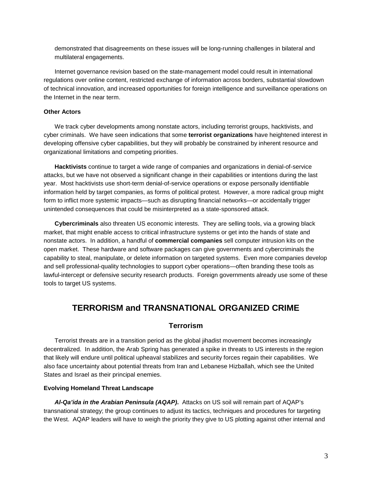demonstrated that disagreements on these issues will be long-running challenges in bilateral and multilateral engagements.

Internet governance revision based on the state-management model could result in international regulations over online content, restricted exchange of information across borders, substantial slowdown of technical innovation, and increased opportunities for foreign intelligence and surveillance operations on the Internet in the near term.

# **Other Actors**

We track cyber developments among nonstate actors, including terrorist groups, hacktivists, and cyber criminals. We have seen indications that some **terrorist organizations** have heightened interest in developing offensive cyber capabilities, but they will probably be constrained by inherent resource and organizational limitations and competing priorities.

**Hacktivists** continue to target a wide range of companies and organizations in denial-of-service attacks, but we have not observed a significant change in their capabilities or intentions during the last year. Most hacktivists use short-term denial-of-service operations or expose personally identifiable information held by target companies, as forms of political protest. However, a more radical group might form to inflict more systemic impacts—such as disrupting financial networks—or accidentally trigger unintended consequences that could be misinterpreted as a state-sponsored attack.

**Cybercriminals** also threaten US economic interests. They are selling tools, via a growing black market, that might enable access to critical infrastructure systems or get into the hands of state and nonstate actors. In addition, a handful of **commercial companies** sell computer intrusion kits on the open market. These hardware and software packages can give governments and cybercriminals the capability to steal, manipulate, or delete information on targeted systems. Even more companies develop and sell professional-quality technologies to support cyber operations—often branding these tools as lawful-intercept or defensive security research products. Foreign governments already use some of these tools to target US systems.

# **TERRORISM and TRANSNATIONAL ORGANIZED CRIME**

# **Terrorism**

Terrorist threats are in a transition period as the global jihadist movement becomes increasingly decentralized. In addition, the Arab Spring has generated a spike in threats to US interests in the region that likely will endure until political upheaval stabilizes and security forces regain their capabilities. We also face uncertainty about potential threats from Iran and Lebanese Hizballah, which see the United States and Israel as their principal enemies.

#### **Evolving Homeland Threat Landscape**

*Al-Qa'ida in the Arabian Peninsula (AQAP)***.** Attacks on US soil will remain part of AQAP's transnational strategy; the group continues to adjust its tactics, techniques and procedures for targeting the West. AQAP leaders will have to weigh the priority they give to US plotting against other internal and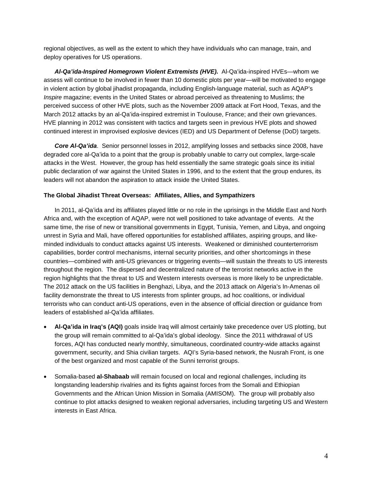regional objectives, as well as the extent to which they have individuals who can manage, train, and deploy operatives for US operations.

*Al-Qa'ida-Inspired Homegrown Violent Extremists (HVE)***.** Al-Qa'ida-inspired HVEs—whom we assess will continue to be involved in fewer than 10 domestic plots per year—will be motivated to engage in violent action by global jihadist propaganda, including English-language material, such as AQAP's *Inspire* magazine; events in the United States or abroad perceived as threatening to Muslims; the perceived success of other HVE plots, such as the November 2009 attack at Fort Hood, Texas, and the March 2012 attacks by an al-Qa'ida-inspired extremist in Toulouse, France; and their own grievances. HVE planning in 2012 was consistent with tactics and targets seen in previous HVE plots and showed continued interest in improvised explosive devices (IED) and US Department of Defense (DoD) targets.

*Core Al-Qa'ida*. Senior personnel losses in 2012, amplifying losses and setbacks since 2008, have degraded core al-Qa'ida to a point that the group is probably unable to carry out complex, large-scale attacks in the West. However, the group has held essentially the same strategic goals since its initial public declaration of war against the United States in 1996, and to the extent that the group endures, its leaders will not abandon the aspiration to attack inside the United States.

#### **The Global Jihadist Threat Overseas: Affiliates, Allies, and Sympathizers**

In 2011, al-Qa'ida and its affiliates played little or no role in the uprisings in the Middle East and North Africa and, with the exception of AQAP, were not well positioned to take advantage of events. At the same time, the rise of new or transitional governments in Egypt, Tunisia, Yemen, and Libya, and ongoing unrest in Syria and Mali, have offered opportunities for established affiliates, aspiring groups, and likeminded individuals to conduct attacks against US interests. Weakened or diminished counterterrorism capabilities, border control mechanisms, internal security priorities, and other shortcomings in these countries—combined with anti-US grievances or triggering events—will sustain the threats to US interests throughout the region. The dispersed and decentralized nature of the terrorist networks active in the region highlights that the threat to US and Western interests overseas is more likely to be unpredictable. The 2012 attack on the US facilities in Benghazi, Libya, and the 2013 attack on Algeria's In-Amenas oil facility demonstrate the threat to US interests from splinter groups, ad hoc coalitions, or individual terrorists who can conduct anti-US operations, even in the absence of official direction or guidance from leaders of established al-Qa'ida affiliates.

- **Al-Qa'ida in Iraq's (AQI)** goals inside Iraq will almost certainly take precedence over US plotting, but the group will remain committed to al-Qa'ida's global ideology. Since the 2011 withdrawal of US forces, AQI has conducted nearly monthly, simultaneous, coordinated country-wide attacks against government, security, and Shia civilian targets. AQI's Syria-based network, the Nusrah Front, is one of the best organized and most capable of the Sunni terrorist groups.
- Somalia-based **al-Shabaab** will remain focused on local and regional challenges, including its longstanding leadership rivalries and its fights against forces from the Somali and Ethiopian Governments and the African Union Mission in Somalia (AMISOM). The group will probably also continue to plot attacks designed to weaken regional adversaries, including targeting US and Western interests in East Africa.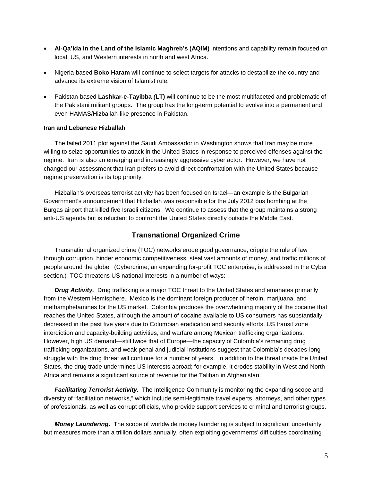- **Al-Qa'ida in the Land of the Islamic Maghreb's (AQIM)** intentions and capability remain focused on local, US, and Western interests in north and west Africa.
- Nigeria-based **Boko Haram** will continue to select targets for attacks to destabilize the country and advance its extreme vision of Islamist rule.
- Pakistan-based **Lashkar-e-Tayibba** *(***LT)** will continue to be the most multifaceted and problematic of the Pakistani militant groups. The group has the long-term potential to evolve into a permanent and even HAMAS/Hizballah-like presence in Pakistan.

#### **Iran and Lebanese Hizballah**

The failed 2011 plot against the Saudi Ambassador in Washington shows that Iran may be more willing to seize opportunities to attack in the United States in response to perceived offenses against the regime. Iran is also an emerging and increasingly aggressive cyber actor. However, we have not changed our assessment that Iran prefers to avoid direct confrontation with the United States because regime preservation is its top priority.

Hizballah's overseas terrorist activity has been focused on Israel—an example is the Bulgarian Government's announcement that Hizballah was responsible for the July 2012 bus bombing at the Burgas airport that killed five Israeli citizens. We continue to assess that the group maintains a strong anti-US agenda but is reluctant to confront the United States directly outside the Middle East.

### **Transnational Organized Crime**

Transnational organized crime (TOC) networks erode good governance, cripple the rule of law through corruption, hinder economic competitiveness, steal vast amounts of money, and traffic millions of people around the globe. (Cybercrime, an expanding for-profit TOC enterprise, is addressed in the Cyber section.) TOC threatens US national interests in a number of ways:

*Drug Activity.* Drug trafficking is a major TOC threat to the United States and emanates primarily from the Western Hemisphere.Mexico is the dominant foreign producer of heroin, marijuana, and methamphetamines for the US market. Colombia produces the overwhelming majority of the cocaine that reaches the United States, although the amount of cocaine available to US consumers has substantially decreased in the past five years due to Colombian eradication and security efforts, US transit zone interdiction and capacity-building activities, and warfare among Mexican trafficking organizations. However, high US demand—still twice that of Europe—the capacity of Colombia's remaining drug trafficking organizations, and weak penal and judicial institutions suggest that Colombia's decades-long struggle with the drug threat will continue for a number of years. In addition to the threat inside the United States, the drug trade undermines US interests abroad; for example, it erodes stability in West and North Africa and remains a significant source of revenue for the Taliban in Afghanistan.

*Facilitating Terrorist Activity.* The Intelligence Community is monitoring the expanding scope and diversity of "facilitation networks," which include semi-legitimate travel experts, attorneys, and other types of professionals, as well as corrupt officials, who provide support services to criminal and terrorist groups.

*Money Laundering.* The scope of worldwide money laundering is subject to significant uncertainty but measures more than a trillion dollars annually, often exploiting governments' difficulties coordinating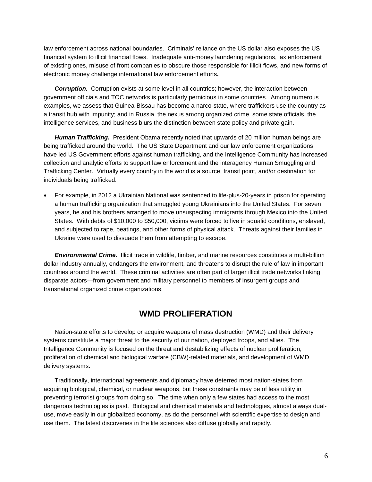law enforcement across national boundaries. Criminals' reliance on the US dollar also exposes the US financial system to illicit financial flows. Inadequate anti-money laundering regulations, lax enforcement of existing ones, misuse of front companies to obscure those responsible for illicit flows, and new forms of electronic money challenge international law enforcement efforts**.** 

*Corruption.* Corruption exists at some level in all countries; however, the interaction between government officials and TOC networks is particularly pernicious in some countries. Among numerous examples, we assess that Guinea-Bissau has become a narco-state, where traffickers use the country as a transit hub with impunity; and in Russia, the nexus among organized crime, some state officials, the intelligence services, and business blurs the distinction between state policy and private gain.

*Human Trafficking.* President Obama recently noted that upwards of 20 million human beings are being trafficked around the world. The US State Department and our law enforcement organizations have led US Government efforts against human trafficking, and the Intelligence Community has increased collection and analytic efforts to support law enforcement and the interagency Human Smuggling and Trafficking Center. Virtually every country in the world is a source, transit point, and/or destination for individuals being trafficked.

• For example, in 2012 a Ukrainian National was sentenced to life-plus-20-years in prison for operating a human trafficking organization that smuggled young Ukrainians into the United States. For seven years, he and his brothers arranged to move unsuspecting immigrants through Mexico into the United States. With debts of \$10,000 to \$50,000, victims were forced to live in squalid conditions, enslaved, and subjected to rape, beatings, and other forms of physical attack. Threats against their families in Ukraine were used to dissuade them from attempting to escape.

 *Environmental Crime.* Illicit trade in wildlife, timber, and marine resources constitutes a multi-billion dollar industry annually, endangers the environment, and threatens to disrupt the rule of law in important countries around the world. These criminal activities are often part of larger illicit trade networks linking disparate actors—from government and military personnel to members of insurgent groups and transnational organized crime organizations.

# **WMD PROLIFERATION**

Nation-state efforts to develop or acquire weapons of mass destruction (WMD) and their delivery systems constitute a major threat to the security of our nation, deployed troops, and allies. The Intelligence Community is focused on the threat and destabilizing effects of nuclear proliferation, proliferation of chemical and biological warfare (CBW)-related materials, and development of WMD delivery systems.

Traditionally, international agreements and diplomacy have deterred most nation-states from acquiring biological, chemical, or nuclear weapons, but these constraints may be of less utility in preventing terrorist groups from doing so. The time when only a few states had access to the most dangerous technologies is past. Biological and chemical materials and technologies, almost always dualuse, move easily in our globalized economy, as do the personnel with scientific expertise to design and use them. The latest discoveries in the life sciences also diffuse globally and rapidly.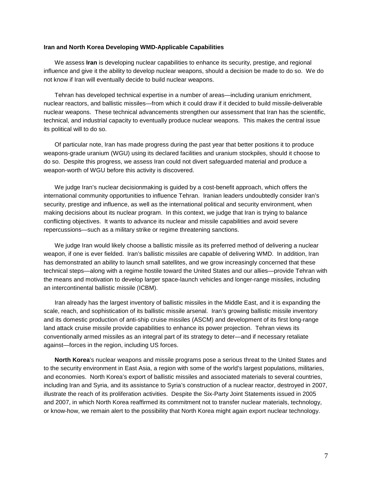#### **Iran and North Korea Developing WMD-Applicable Capabilities**

We assess **Iran** is developing nuclear capabilities to enhance its security, prestige, and regional influence and give it the ability to develop nuclear weapons, should a decision be made to do so. We do not know if Iran will eventually decide to build nuclear weapons.

Tehran has developed technical expertise in a number of areas—including uranium enrichment, nuclear reactors, and ballistic missiles—from which it could draw if it decided to build missile-deliverable nuclear weapons. These technical advancements strengthen our assessment that Iran has the scientific, technical, and industrial capacity to eventually produce nuclear weapons. This makes the central issue its political will to do so.

Of particular note, Iran has made progress during the past year that better positions it to produce weapons-grade uranium (WGU) using its declared facilities and uranium stockpiles, should it choose to do so. Despite this progress, we assess Iran could not divert safeguarded material and produce a weapon-worth of WGU before this activity is discovered.

We judge Iran's nuclear decisionmaking is guided by a cost-benefit approach, which offers the international community opportunities to influence Tehran. Iranian leaders undoubtedly consider Iran's security, prestige and influence, as well as the international political and security environment, when making decisions about its nuclear program. In this context, we judge that Iran is trying to balance conflicting objectives. It wants to advance its nuclear and missile capabilities and avoid severe repercussions—such as a military strike or regime threatening sanctions.

We judge Iran would likely choose a ballistic missile as its preferred method of delivering a nuclear weapon, if one is ever fielded. Iran's ballistic missiles are capable of delivering WMD. In addition, Iran has demonstrated an ability to launch small satellites, and we grow increasingly concerned that these technical steps—along with a regime hostile toward the United States and our allies—provide Tehran with the means and motivation to develop larger space-launch vehicles and longer-range missiles, including an intercontinental ballistic missile (ICBM).

Iran already has the largest inventory of ballistic missiles in the Middle East, and it is expanding the scale, reach, and sophistication of its ballistic missile arsenal. Iran's growing ballistic missile inventory and its domestic production of anti-ship cruise missiles (ASCM) and development of its first long-range land attack cruise missile provide capabilities to enhance its power projection. Tehran views its conventionally armed missiles as an integral part of its strategy to deter—and if necessary retaliate against—forces in the region, including US forces.

**North Korea**'s nuclear weapons and missile programs pose a serious threat to the United States and to the security environment in East Asia, a region with some of the world's largest populations, militaries, and economies. North Korea's export of ballistic missiles and associated materials to several countries, including Iran and Syria, and its assistance to Syria's construction of a nuclear reactor, destroyed in 2007, illustrate the reach of its proliferation activities. Despite the Six-Party Joint Statements issued in 2005 and 2007, in which North Korea reaffirmed its commitment not to transfer nuclear materials, technology, or know-how, we remain alert to the possibility that North Korea might again export nuclear technology.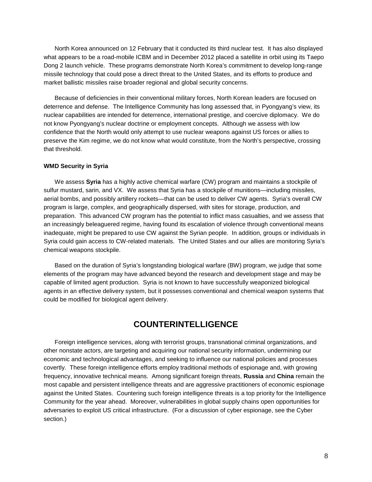North Korea announced on 12 February that it conducted its third nuclear test. It has also displayed what appears to be a road-mobile ICBM and in December 2012 placed a satellite in orbit using its Taepo Dong 2 launch vehicle. These programs demonstrate North Korea's commitment to develop long-range missile technology that could pose a direct threat to the United States, and its efforts to produce and market ballistic missiles raise broader regional and global security concerns.

Because of deficiencies in their conventional military forces, North Korean leaders are focused on deterrence and defense. The Intelligence Community has long assessed that, in Pyongyang's view, its nuclear capabilities are intended for deterrence, international prestige, and coercive diplomacy. We do not know Pyongyang's nuclear doctrine or employment concepts. Although we assess with low confidence that the North would only attempt to use nuclear weapons against US forces or allies to preserve the Kim regime, we do not know what would constitute, from the North's perspective, crossing that threshold.

#### **WMD Security in Syria**

We assess **Syria** has a highly active chemical warfare (CW) program and maintains a stockpile of sulfur mustard, sarin, and VX. We assess that Syria has a stockpile of munitions—including missiles, aerial bombs, and possibly artillery rockets—that can be used to deliver CW agents. Syria's overall CW program is large, complex, and geographically dispersed, with sites for storage, production, and preparation. This advanced CW program has the potential to inflict mass casualties, and we assess that an increasingly beleaguered regime, having found its escalation of violence through conventional means inadequate, might be prepared to use CW against the Syrian people. In addition, groups or individuals in Syria could gain access to CW-related materials. The United States and our allies are monitoring Syria's chemical weapons stockpile.

Based on the duration of Syria's longstanding biological warfare (BW) program, we judge that some elements of the program may have advanced beyond the research and development stage and may be capable of limited agent production. Syria is not known to have successfully weaponized biological agents in an effective delivery system, but it possesses conventional and chemical weapon systems that could be modified for biological agent delivery.

# **COUNTERINTELLIGENCE**

Foreign intelligence services, along with terrorist groups, transnational criminal organizations, and other nonstate actors, are targeting and acquiring our national security information, undermining our economic and technological advantages, and seeking to influence our national policies and processes covertly. These foreign intelligence efforts employ traditional methods of espionage and, with growing frequency, innovative technical means. Among significant foreign threats, **Russia** and **China** remain the most capable and persistent intelligence threats and are aggressive practitioners of economic espionage against the United States. Countering such foreign intelligence threats is a top priority for the Intelligence Community for the year ahead. Moreover, vulnerabilities in global supply chains open opportunities for adversaries to exploit US critical infrastructure. (For a discussion of cyber espionage, see the Cyber section.)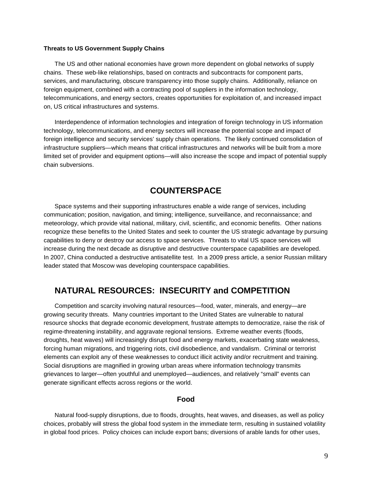#### **Threats to US Government Supply Chains**

The US and other national economies have grown more dependent on global networks of supply chains. These web-like relationships, based on contracts and subcontracts for component parts, services, and manufacturing, obscure transparency into those supply chains. Additionally, reliance on foreign equipment, combined with a contracting pool of suppliers in the information technology, telecommunications, and energy sectors, creates opportunities for exploitation of, and increased impact on, US critical infrastructures and systems.

Interdependence of information technologies and integration of foreign technology in US information technology, telecommunications, and energy sectors will increase the potential scope and impact of foreign intelligence and security services' supply chain operations. The likely continued consolidation of infrastructure suppliers—which means that critical infrastructures and networks will be built from a more limited set of provider and equipment options—will also increase the scope and impact of potential supply chain subversions.

# **COUNTERSPACE**

Space systems and their supporting infrastructures enable a wide range of services, including communication; position, navigation, and timing; intelligence, surveillance, and reconnaissance; and meteorology, which provide vital national, military, civil, scientific, and economic benefits. Other nations recognize these benefits to the United States and seek to counter the US strategic advantage by pursuing capabilities to deny or destroy our access to space services. Threats to vital US space services will increase during the next decade as disruptive and destructive counterspace capabilities are developed. In 2007, China conducted a destructive antisatellite test. In a 2009 press article, a senior Russian military leader stated that Moscow was developing counterspace capabilities.

# **NATURAL RESOURCES: INSECURITY and COMPETITION**

Competition and scarcity involving natural resources—food, water, minerals, and energy—are growing security threats. Many countries important to the United States are vulnerable to natural resource shocks that degrade economic development, frustrate attempts to democratize, raise the risk of regime-threatening instability, and aggravate regional tensions. Extreme weather events (floods, droughts, heat waves) will increasingly disrupt food and energy markets, exacerbating state weakness, forcing human migrations, and triggering riots, civil disobedience, and vandalism. Criminal or terrorist elements can exploit any of these weaknesses to conduct illicit activity and/or recruitment and training. Social disruptions are magnified in growing urban areas where information technology transmits grievances to larger—often youthful and unemployed—audiences, and relatively "small" events can generate significant effects across regions or the world.

## **Food**

Natural food-supply disruptions, due to floods, droughts, heat waves, and diseases, as well as policy choices, probably will stress the global food system in the immediate term, resulting in sustained volatility in global food prices. Policy choices can include export bans; diversions of arable lands for other uses,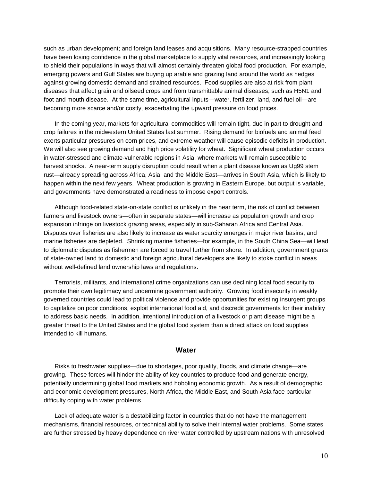such as urban development; and foreign land leases and acquisitions. Many resource-strapped countries have been losing confidence in the global marketplace to supply vital resources, and increasingly looking to shield their populations in ways that will almost certainly threaten global food production. For example, emerging powers and Gulf States are buying up arable and grazing land around the world as hedges against growing domestic demand and strained resources. Food supplies are also at risk from plant diseases that affect grain and oilseed crops and from transmittable animal diseases, such as H5N1 and foot and mouth disease. At the same time, agricultural inputs—water, fertilizer, land, and fuel oil—are becoming more scarce and/or costly, exacerbating the upward pressure on food prices.

In the coming year, markets for agricultural commodities will remain tight, due in part to drought and crop failures in the midwestern United States last summer. Rising demand for biofuels and animal feed exerts particular pressures on corn prices, and extreme weather will cause episodic deficits in production. We will also see growing demand and high price volatility for wheat. Significant wheat production occurs in water-stressed and climate-vulnerable regions in Asia, where markets will remain susceptible to harvest shocks. A near-term supply disruption could result when a plant disease known as Ug99 stem rust—already spreading across Africa, Asia, and the Middle East—arrives in South Asia, which is likely to happen within the next few years. Wheat production is growing in Eastern Europe, but output is variable, and governments have demonstrated a readiness to impose export controls.

Although food-related state-on-state conflict is unlikely in the near term, the risk of conflict between farmers and livestock owners—often in separate states—will increase as population growth and crop expansion infringe on livestock grazing areas, especially in sub-Saharan Africa and Central Asia. Disputes over fisheries are also likely to increase as water scarcity emerges in major river basins, and marine fisheries are depleted. Shrinking marine fisheries—for example, in the South China Sea—will lead to diplomatic disputes as fishermen are forced to travel further from shore. In addition, government grants of state-owned land to domestic and foreign agricultural developers are likely to stoke conflict in areas without well-defined land ownership laws and regulations.

Terrorists, militants, and international crime organizations can use declining local food security to promote their own legitimacy and undermine government authority. Growing food insecurity in weakly governed countries could lead to political violence and provide opportunities for existing insurgent groups to capitalize on poor conditions, exploit international food aid, and discredit governments for their inability to address basic needs. In addition, intentional introduction of a livestock or plant disease might be a greater threat to the United States and the global food system than a direct attack on food supplies intended to kill humans.

#### **Water**

Risks to freshwater supplies—due to shortages, poor quality, floods, and climate change—are growing. These forces will hinder the ability of key countries to produce food and generate energy, potentially undermining global food markets and hobbling economic growth. As a result of demographic and economic development pressures, North Africa, the Middle East, and South Asia face particular difficulty coping with water problems.

Lack of adequate water is a destabilizing factor in countries that do not have the management mechanisms, financial resources, or technical ability to solve their internal water problems. Some states are further stressed by heavy dependence on river water controlled by upstream nations with unresolved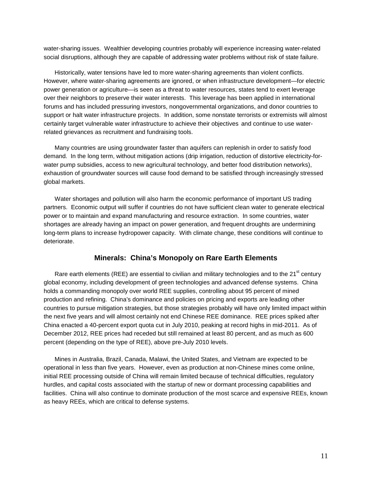water-sharing issues. Wealthier developing countries probably will experience increasing water-related social disruptions, although they are capable of addressing water problems without risk of state failure.

Historically, water tensions have led to more water-sharing agreements than violent conflicts. However, where water-sharing agreements are ignored, or when infrastructure development—for electric power generation or agriculture—is seen as a threat to water resources, states tend to exert leverage over their neighbors to preserve their water interests. This leverage has been applied in international forums and has included pressuring investors, nongovernmental organizations, and donor countries to support or halt water infrastructure projects. In addition, some nonstate terrorists or extremists will almost certainly target vulnerable water infrastructure to achieve their objectives and continue to use waterrelated grievances as recruitment and fundraising tools.

Many countries are using groundwater faster than aquifers can replenish in order to satisfy food demand. In the long term, without mitigation actions (drip irrigation, reduction of distortive electricity-forwater pump subsidies, access to new agricultural technology, and better food distribution networks), exhaustion of groundwater sources will cause food demand to be satisfied through increasingly stressed global markets.

Water shortages and pollution will also harm the economic performance of important US trading partners. Economic output will suffer if countries do not have sufficient clean water to generate electrical power or to maintain and expand manufacturing and resource extraction. In some countries, water shortages are already having an impact on power generation, and frequent droughts are undermining long-term plans to increase hydropower capacity. With climate change, these conditions will continue to deteriorate.

# **Minerals: China's Monopoly on Rare Earth Elements**

Rare earth elements (REE) are essential to civilian and military technologies and to the 21<sup>st</sup> century global economy, including development of green technologies and advanced defense systems. China holds a commanding monopoly over world REE supplies, controlling about 95 percent of mined production and refining. China's dominance and policies on pricing and exports are leading other countries to pursue mitigation strategies, but those strategies probably will have only limited impact within the next five years and will almost certainly not end Chinese REE dominance. REE prices spiked after China enacted a 40-percent export quota cut in July 2010, peaking at record highs in mid-2011. As of December 2012, REE prices had receded but still remained at least 80 percent, and as much as 600 percent (depending on the type of REE), above pre-July 2010 levels.

 Mines in Australia, Brazil, Canada, Malawi, the United States, and Vietnam are expected to be operational in less than five years. However, even as production at non-Chinese mines come online, initial REE processing outside of China will remain limited because of technical difficulties, regulatory hurdles, and capital costs associated with the startup of new or dormant processing capabilities and facilities. China will also continue to dominate production of the most scarce and expensive REEs, known as heavy REEs, which are critical to defense systems.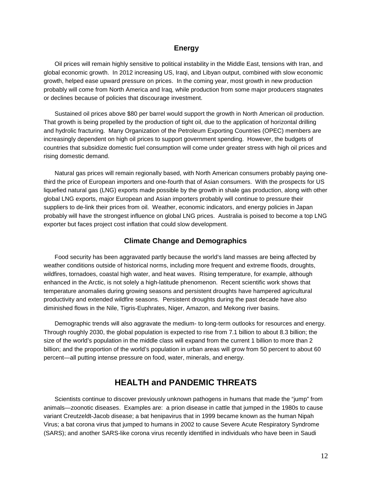#### **Energy**

Oil prices will remain highly sensitive to political instability in the Middle East, tensions with Iran, and global economic growth. In 2012 increasing US, Iraqi, and Libyan output, combined with slow economic growth, helped ease upward pressure on prices. In the coming year, most growth in new production probably will come from North America and Iraq, while production from some major producers stagnates or declines because of policies that discourage investment.

Sustained oil prices above \$80 per barrel would support the growth in North American oil production. That growth is being propelled by the production of tight oil, due to the application of horizontal drilling and hydrolic fracturing. Many Organization of the Petroleum Exporting Countries (OPEC) members are increasingly dependent on high oil prices to support government spending. However, the budgets of countries that subsidize domestic fuel consumption will come under greater stress with high oil prices and rising domestic demand.

Natural gas prices will remain regionally based, with North American consumers probably paying onethird the price of European importers and one-fourth that of Asian consumers. With the prospects for US liquefied natural gas (LNG) exports made possible by the growth in shale gas production, along with other global LNG exports, major European and Asian importers probably will continue to pressure their suppliers to de-link their prices from oil. Weather, economic indicators, and energy policies in Japan probably will have the strongest influence on global LNG prices. Australia is poised to become a top LNG exporter but faces project cost inflation that could slow development.

#### **Climate Change and Demographics**

Food security has been aggravated partly because the world's land masses are being affected by weather conditions outside of historical norms, including more frequent and extreme floods, droughts, wildfires, tornadoes, coastal high water, and heat waves. Rising temperature, for example, although enhanced in the Arctic, is not solely a high-latitude phenomenon. Recent scientific work shows that temperature anomalies during growing seasons and persistent droughts have hampered agricultural productivity and extended wildfire seasons. Persistent droughts during the past decade have also diminished flows in the Nile, Tigris-Euphrates, Niger, Amazon, and Mekong river basins.

Demographic trends will also aggravate the medium- to long-term outlooks for resources and energy. Through roughly 2030, the global population is expected to rise from 7.1 billion to about 8.3 billion; the size of the world's population in the middle class will expand from the current 1 billion to more than 2 billion; and the proportion of the world's population in urban areas will grow from 50 percent to about 60 percent—all putting intense pressure on food, water, minerals, and energy.

# **HEALTH and PANDEMIC THREATS**

 Scientists continue to discover previously unknown pathogens in humans that made the "jump" from animals—zoonotic diseases. Examples are: a prion disease in cattle that jumped in the 1980s to cause variant Creutzeldt-Jacob disease; a bat henipavirus that in 1999 became known as the human Nipah Virus; a bat corona virus that jumped to humans in 2002 to cause Severe Acute Respiratory Syndrome (SARS); and another SARS-like corona virus recently identified in individuals who have been in Saudi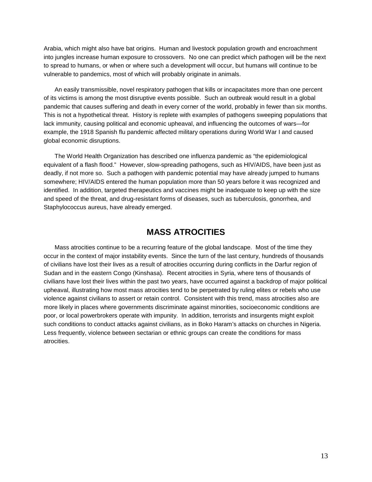Arabia, which might also have bat origins. Human and livestock population growth and encroachment into jungles increase human exposure to crossovers. No one can predict which pathogen will be the next to spread to humans, or when or where such a development will occur, but humans will continue to be vulnerable to pandemics, most of which will probably originate in animals.

 An easily transmissible, novel respiratory pathogen that kills or incapacitates more than one percent of its victims is among the most disruptive events possible. Such an outbreak would result in a global pandemic that causes suffering and death in every corner of the world, probably in fewer than six months. This is not a hypothetical threat. History is replete with examples of pathogens sweeping populations that lack immunity, causing political and economic upheaval, and influencing the outcomes of wars—for example, the 1918 Spanish flu pandemic affected military operations during World War I and caused global economic disruptions.

 The World Health Organization has described one influenza pandemic as "the epidemiological equivalent of a flash flood." However, slow-spreading pathogens, such as HIV/AIDS, have been just as deadly, if not more so. Such a pathogen with pandemic potential may have already jumped to humans somewhere; HIV/AIDS entered the human population more than 50 years before it was recognized and identified. In addition, targeted therapeutics and vaccines might be inadequate to keep up with the size and speed of the threat, and drug-resistant forms of diseases, such as tuberculosis, gonorrhea, and Staphylococcus aureus, have already emerged.

# **MASS ATROCITIES**

Mass atrocities continue to be a recurring feature of the global landscape. Most of the time they occur in the context of major instability events. Since the turn of the last century, hundreds of thousands of civilians have lost their lives as a result of atrocities occurring during conflicts in the Darfur region of Sudan and in the eastern Congo (Kinshasa). Recent atrocities in Syria, where tens of thousands of civilians have lost their lives within the past two years, have occurred against a backdrop of major political upheaval, illustrating how most mass atrocities tend to be perpetrated by ruling elites or rebels who use violence against civilians to assert or retain control. Consistent with this trend, mass atrocities also are more likely in places where governments discriminate against minorities, socioeconomic conditions are poor, or local powerbrokers operate with impunity. In addition, terrorists and insurgents might exploit such conditions to conduct attacks against civilians, as in Boko Haram's attacks on churches in Nigeria. Less frequently, violence between sectarian or ethnic groups can create the conditions for mass atrocities.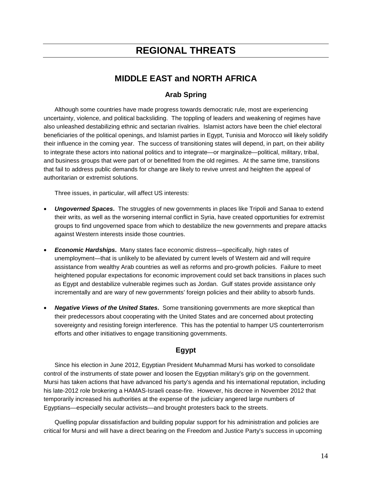# **REGIONAL THREATS**

# **MIDDLE EAST and NORTH AFRICA**

# **Arab Spring**

Although some countries have made progress towards democratic rule, most are experiencing uncertainty, violence, and political backsliding. The toppling of leaders and weakening of regimes have also unleashed destabilizing ethnic and sectarian rivalries. Islamist actors have been the chief electoral beneficiaries of the political openings, and Islamist parties in Egypt, Tunisia and Morocco will likely solidify their influence in the coming year. The success of transitioning states will depend, in part, on their ability to integrate these actors into national politics and to integrate—or marginalize—political, military, tribal, and business groups that were part of or benefitted from the old regimes. At the same time, transitions that fail to address public demands for change are likely to revive unrest and heighten the appeal of authoritarian or extremist solutions.

Three issues, in particular, will affect US interests:

- **Ungoverned Spaces.** The struggles of new governments in places like Tripoli and Sanaa to extend their writs, as well as the worsening internal conflict in Syria, have created opportunities for extremist groups to find ungoverned space from which to destabilize the new governments and prepare attacks against Western interests inside those countries.
- *Economic Hardships***.** Many states face economic distress—specifically, high rates of unemployment—that is unlikely to be alleviated by current levels of Western aid and will require assistance from wealthy Arab countries as well as reforms and pro-growth policies. Failure to meet heightened popular expectations for economic improvement could set back transitions in places such as Egypt and destabilize vulnerable regimes such as Jordan. Gulf states provide assistance only incrementally and are wary of new governments' foreign policies and their ability to absorb funds.
- *Negative Views of the United States***.** Some transitioning governments are more skeptical than their predecessors about cooperating with the United States and are concerned about protecting sovereignty and resisting foreign interference. This has the potential to hamper US counterterrorism efforts and other initiatives to engage transitioning governments.

# **Egypt**

Since his election in June 2012, Egyptian President Muhammad Mursi has worked to consolidate control of the instruments of state power and loosen the Egyptian military's grip on the government. Mursi has taken actions that have advanced his party's agenda and his international reputation, including his late-2012 role brokering a HAMAS-Israeli cease-fire. However, his decree in November 2012 that temporarily increased his authorities at the expense of the judiciary angered large numbers of Egyptians—especially secular activists—and brought protesters back to the streets.

Quelling popular dissatisfaction and building popular support for his administration and policies are critical for Mursi and will have a direct bearing on the Freedom and Justice Party's success in upcoming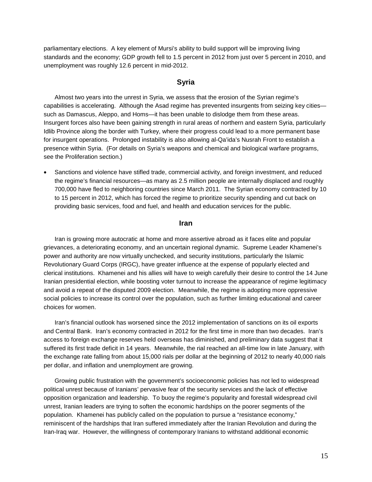parliamentary elections. A key element of Mursi's ability to build support will be improving living standards and the economy; GDP growth fell to 1.5 percent in 2012 from just over 5 percent in 2010, and unemployment was roughly 12.6 percent in mid-2012.

### **Syria**

Almost two years into the unrest in Syria, we assess that the erosion of the Syrian regime's capabilities is accelerating. Although the Asad regime has prevented insurgents from seizing key cities such as Damascus, Aleppo, and Homs—it has been unable to dislodge them from these areas. Insurgent forces also have been gaining strength in rural areas of northern and eastern Syria, particularly Idlib Province along the border with Turkey, where their progress could lead to a more permanent base for insurgent operations. Prolonged instability is also allowing al-Qa'ida's Nusrah Front to establish a presence within Syria. (For details on Syria's weapons and chemical and biological warfare programs, see the Proliferation section.)

• Sanctions and violence have stifled trade, commercial activity, and foreign investment, and reduced the regime's financial resources—as many as 2.5 million people are internally displaced and roughly 700,000 have fled to neighboring countries since March 2011. The Syrian economy contracted by 10 to 15 percent in 2012, which has forced the regime to prioritize security spending and cut back on providing basic services, food and fuel, and health and education services for the public.

#### **Iran**

Iran is growing more autocratic at home and more assertive abroad as it faces elite and popular grievances, a deteriorating economy, and an uncertain regional dynamic. Supreme Leader Khamenei's power and authority are now virtually unchecked, and security institutions, particularly the Islamic Revolutionary Guard Corps (IRGC), have greater influence at the expense of popularly elected and clerical institutions. Khamenei and his allies will have to weigh carefully their desire to control the 14 June Iranian presidential election, while boosting voter turnout to increase the appearance of regime legitimacy and avoid a repeat of the disputed 2009 election. Meanwhile, the regime is adopting more oppressive social policies to increase its control over the population, such as further limiting educational and career choices for women.

Iran's financial outlook has worsened since the 2012 implementation of sanctions on its oil exports and Central Bank. Iran's economy contracted in 2012 for the first time in more than two decades. Iran's access to foreign exchange reserves held overseas has diminished, and preliminary data suggest that it suffered its first trade deficit in 14 years. Meanwhile, the rial reached an all-time low in late January, with the exchange rate falling from about 15,000 rials per dollar at the beginning of 2012 to nearly 40,000 rials per dollar, and inflation and unemployment are growing.

Growing public frustration with the government's socioeconomic policies has not led to widespread political unrest because of Iranians' pervasive fear of the security services and the lack of effective opposition organization and leadership. To buoy the regime's popularity and forestall widespread civil unrest, Iranian leaders are trying to soften the economic hardships on the poorer segments of the population. Khamenei has publicly called on the population to pursue a "resistance economy," reminiscent of the hardships that Iran suffered immediately after the Iranian Revolution and during the Iran-Iraq war. However, the willingness of contemporary Iranians to withstand additional economic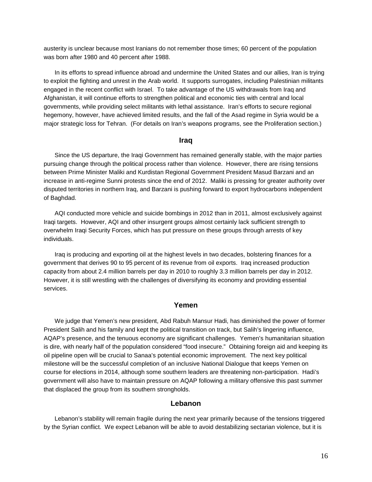austerity is unclear because most Iranians do not remember those times; 60 percent of the population was born after 1980 and 40 percent after 1988.

In its efforts to spread influence abroad and undermine the United States and our allies, Iran is trying to exploit the fighting and unrest in the Arab world. It supports surrogates, including Palestinian militants engaged in the recent conflict with Israel. To take advantage of the US withdrawals from Iraq and Afghanistan, it will continue efforts to strengthen political and economic ties with central and local governments, while providing select militants with lethal assistance. Iran's efforts to secure regional hegemony, however, have achieved limited results, and the fall of the Asad regime in Syria would be a major strategic loss for Tehran. (For details on Iran's weapons programs, see the Proliferation section.)

## **Iraq**

Since the US departure, the Iraqi Government has remained generally stable, with the major parties pursuing change through the political process rather than violence. However, there are rising tensions between Prime Minister Maliki and Kurdistan Regional Government President Masud Barzani and an increase in anti-regime Sunni protests since the end of 2012. Maliki is pressing for greater authority over disputed territories in northern Iraq, and Barzani is pushing forward to export hydrocarbons independent of Baghdad.

AQI conducted more vehicle and suicide bombings in 2012 than in 2011, almost exclusively against Iraqi targets. However, AQI and other insurgent groups almost certainly lack sufficient strength to overwhelm Iraqi Security Forces, which has put pressure on these groups through arrests of key individuals.

Iraq is producing and exporting oil at the highest levels in two decades, bolstering finances for a government that derives 90 to 95 percent of its revenue from oil exports. Iraq increased production capacity from about 2.4 million barrels per day in 2010 to roughly 3.3 million barrels per day in 2012. However, it is still wrestling with the challenges of diversifying its economy and providing essential services.

# **Yemen**

We judge that Yemen's new president, Abd Rabuh Mansur Hadi, has diminished the power of former President Salih and his family and kept the political transition on track, but Salih's lingering influence, AQAP's presence, and the tenuous economy are significant challenges. Yemen's humanitarian situation is dire, with nearly half of the population considered "food insecure." Obtaining foreign aid and keeping its oil pipeline open will be crucial to Sanaa's potential economic improvement. The next key political milestone will be the successful completion of an inclusive National Dialogue that keeps Yemen on course for elections in 2014, although some southern leaders are threatening non-participation. Hadi's government will also have to maintain pressure on AQAP following a military offensive this past summer that displaced the group from its southern strongholds.

### **Lebanon**

Lebanon's stability will remain fragile during the next year primarily because of the tensions triggered by the Syrian conflict. We expect Lebanon will be able to avoid destabilizing sectarian violence, but it is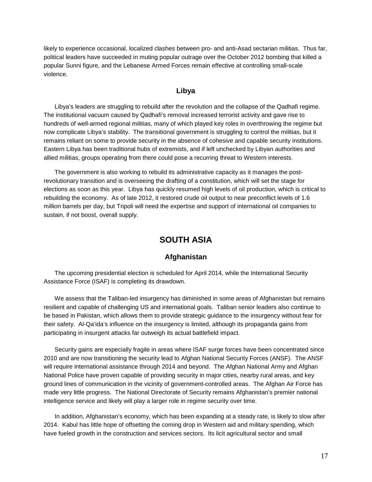likely to experience occasional, localized clashes between pro- and anti-Asad sectarian militias. Thus far, political leaders have succeeded in muting popular outrage over the October 2012 bombing that killed a popular Sunni figure, and the Lebanese Armed Forces remain effective at controlling small-scale violence.

# **Libya**

Libya's leaders are struggling to rebuild after the revolution and the collapse of the Qadhafi regime. The institutional vacuum caused by Qadhafi's removal increased terrorist activity and gave rise to hundreds of well-armed regional militias, many of which played key roles in overthrowing the regime but now complicate Libya's stability. The transitional government is struggling to control the militias, but it remains reliant on some to provide security in the absence of cohesive and capable security institutions. Eastern Libya has been traditional hubs of extremists, and if left unchecked by Libyan authorities and allied militias, groups operating from there could pose a recurring threat to Western interests.

The government is also working to rebuild its administrative capacity as it manages the postrevolutionary transition and is overseeing the drafting of a constitution, which will set the stage for elections as soon as this year. Libya has quickly resumed high levels of oil production, which is critical to rebuilding the economy. As of late 2012, it restored crude oil output to near preconflict levels of 1.6 million barrels per day, but Tripoli will need the expertise and support of international oil companies to sustain, if not boost, overall supply.

# **SOUTH ASIA**

## **Afghanistan**

The upcoming presidential election is scheduled for April 2014, while the International Security Assistance Force (ISAF) is completing its drawdown.

We assess that the Taliban-led insurgency has diminished in some areas of Afghanistan but remains resilient and capable of challenging US and international goals. Taliban senior leaders also continue to be based in Pakistan, which allows them to provide strategic guidance to the insurgency without fear for their safety. Al-Qa'ida's influence on the insurgency is limited, although its propaganda gains from participating in insurgent attacks far outweigh its actual battlefield impact.

Security gains are especially fragile in areas where ISAF surge forces have been concentrated since 2010 and are now transitioning the security lead to Afghan National Security Forces (ANSF). The ANSF will require international assistance through 2014 and beyond. The Afghan National Army and Afghan National Police have proven capable of providing security in major cities, nearby rural areas, and key ground lines of communication in the vicinity of government-controlled areas. The Afghan Air Force has made very little progress. The National Directorate of Security remains Afghanistan's premier national intelligence service and likely will play a larger role in regime security over time.

In addition, Afghanistan's economy, which has been expanding at a steady rate, is likely to slow after 2014. Kabul has little hope of offsetting the coming drop in Western aid and military spending, which have fueled growth in the construction and services sectors. Its licit agricultural sector and small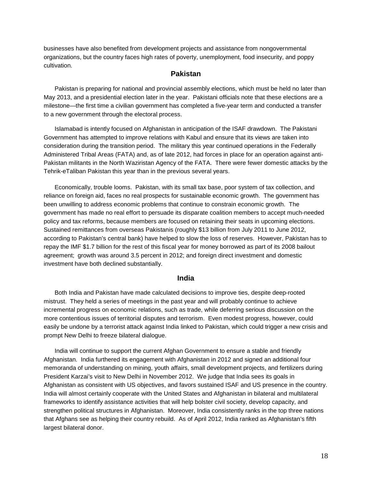businesses have also benefited from development projects and assistance from nongovernmental organizations, but the country faces high rates of poverty, unemployment, food insecurity, and poppy cultivation.

# **Pakistan**

Pakistan is preparing for national and provincial assembly elections, which must be held no later than May 2013, and a presidential election later in the year. Pakistani officials note that these elections are a milestone—the first time a civilian government has completed a five-year term and conducted a transfer to a new government through the electoral process.

Islamabad is intently focused on Afghanistan in anticipation of the ISAF drawdown. The Pakistani Government has attempted to improve relations with Kabul and ensure that its views are taken into consideration during the transition period. The military this year continued operations in the Federally Administered Tribal Areas (FATA) and, as of late 2012, had forces in place for an operation against anti-Pakistan militants in the North Waziristan Agency of the FATA. There were fewer domestic attacks by the Tehrik-eTaliban Pakistan this year than in the previous several years.

Economically, trouble looms. Pakistan, with its small tax base, poor system of tax collection, and reliance on foreign aid, faces no real prospects for sustainable economic growth. The government has been unwilling to address economic problems that continue to constrain economic growth. The government has made no real effort to persuade its disparate coalition members to accept much-needed policy and tax reforms, because members are focused on retaining their seats in upcoming elections. Sustained remittances from overseas Pakistanis (roughly \$13 billion from July 2011 to June 2012, according to Pakistan's central bank) have helped to slow the loss of reserves. However, Pakistan has to repay the IMF \$1.7 billion for the rest of this fiscal year for money borrowed as part of its 2008 bailout agreement; growth was around 3.5 percent in 2012; and foreign direct investment and domestic investment have both declined substantially.

#### **India**

Both India and Pakistan have made calculated decisions to improve ties, despite deep-rooted mistrust. They held a series of meetings in the past year and will probably continue to achieve incremental progress on economic relations, such as trade, while deferring serious discussion on the more contentious issues of territorial disputes and terrorism. Even modest progress, however, could easily be undone by a terrorist attack against India linked to Pakistan, which could trigger a new crisis and prompt New Delhi to freeze bilateral dialogue.

India will continue to support the current Afghan Government to ensure a stable and friendly Afghanistan. India furthered its engagement with Afghanistan in 2012 and signed an additional four memoranda of understanding on mining, youth affairs, small development projects, and fertilizers during President Karzai's visit to New Delhi in November 2012. We judge that India sees its goals in Afghanistan as consistent with US objectives, and favors sustained ISAF and US presence in the country. India will almost certainly cooperate with the United States and Afghanistan in bilateral and multilateral frameworks to identify assistance activities that will help bolster civil society, develop capacity, and strengthen political structures in Afghanistan. Moreover, India consistently ranks in the top three nations that Afghans see as helping their country rebuild. As of April 2012, India ranked as Afghanistan's fifth largest bilateral donor.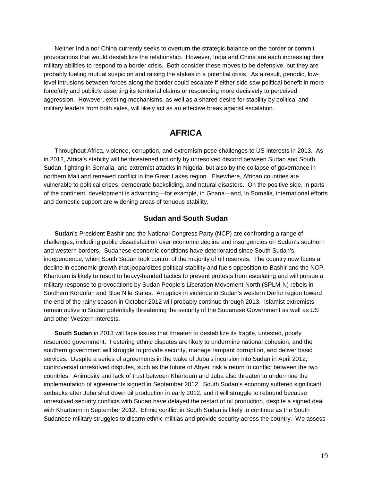Neither India nor China currently seeks to overturn the strategic balance on the border or commit provocations that would destabilize the relationship. However, India and China are each increasing their military abilities to respond to a border crisis. Both consider these moves to be defensive, but they are probably fueling mutual suspicion and raising the stakes in a potential crisis. As a result, periodic, lowlevel intrusions between forces along the border could escalate if either side saw political benefit in more forcefully and publicly asserting its territorial claims or responding more decisively to perceived aggression. However, existing mechanisms, as well as a shared desire for stability by political and military leaders from both sides, will likely act as an effective break against escalation.

# **AFRICA**

Throughout Africa, violence, corruption, and extremism pose challenges to US interests in 2013. As in 2012, Africa's stability will be threatened not only by unresolved discord between Sudan and South Sudan, fighting in Somalia, and extremist attacks in Nigeria, but also by the collapse of governance in northern Mali and renewed conflict in the Great Lakes region. Elsewhere, African countries are vulnerable to political crises, democratic backsliding, and natural disasters. On the positive side, in parts of the continent, development is advancing—for example, in Ghana—and, in Somalia, international efforts and domestic support are widening areas of tenuous stability.

## **Sudan and South Sudan**

**Sudan**'s President Bashir and the National Congress Party (NCP) are confronting a range of challenges, including public dissatisfaction over economic decline and insurgencies on Sudan's southern and western borders. Sudanese economic conditions have deteriorated since South Sudan's independence, when South Sudan took control of the majority of oil reserves. The country now faces a decline in economic growth that jeopardizes political stability and fuels opposition to Bashir and the NCP. Khartoum is likely to resort to heavy-handed tactics to prevent protests from escalating and will pursue a military response to provocations by Sudan People's Liberation Movement-North (SPLM-N) rebels in Southern Kordofan and Blue Nile States. An uptick in violence in Sudan's western Darfur region toward the end of the rainy season in October 2012 will probably continue through 2013. Islamist extremists remain active in Sudan potentially threatening the security of the Sudanese Government as well as US and other Western interests.

**South Sudan** in 2013 will face issues that threaten to destabilize its fragile, untested, poorly resourced government. Festering ethnic disputes are likely to undermine national cohesion, and the southern government will struggle to provide security, manage rampant corruption, and deliver basic services. Despite a series of agreements in the wake of Juba's incursion into Sudan in April 2012, controversial unresolved disputes, such as the future of Abyei, risk a return to conflict between the two countries. Animosity and lack of trust between Khartoum and Juba also threaten to undermine the implementation of agreements signed in September 2012. South Sudan's economy suffered significant setbacks after Juba shut down oil production in early 2012, and it will struggle to rebound because unresolved security conflicts with Sudan have delayed the restart of oil production, despite a signed deal with Khartoum in September 2012. Ethnic conflict in South Sudan is likely to continue as the South Sudanese military struggles to disarm ethnic militias and provide security across the country. We assess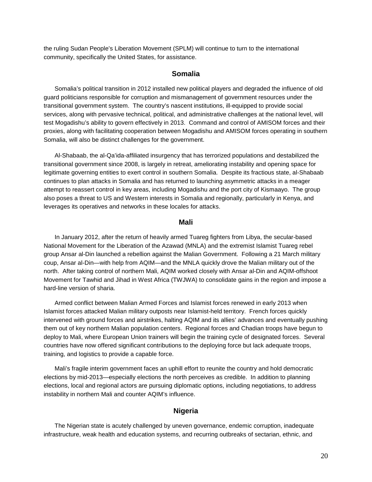the ruling Sudan People's Liberation Movement (SPLM) will continue to turn to the international community, specifically the United States, for assistance.

## **Somalia**

Somalia's political transition in 2012 installed new political players and degraded the influence of old guard politicians responsible for corruption and mismanagement of government resources under the transitional government system. The country's nascent institutions, ill-equipped to provide social services, along with pervasive technical, political, and administrative challenges at the national level, will test Mogadishu's ability to govern effectively in 2013. Command and control of AMISOM forces and their proxies, along with facilitating cooperation between Mogadishu and AMISOM forces operating in southern Somalia, will also be distinct challenges for the government.

Al-Shabaab, the al-Qa'ida-affiliated insurgency that has terrorized populations and destabilized the transitional government since 2008, is largely in retreat, ameliorating instability and opening space for legitimate governing entities to exert control in southern Somalia. Despite its fractious state, al-Shabaab continues to plan attacks in Somalia and has returned to launching asymmetric attacks in a meager attempt to reassert control in key areas, including Mogadishu and the port city of Kismaayo. The group also poses a threat to US and Western interests in Somalia and regionally, particularly in Kenya, and leverages its operatives and networks in these locales for attacks.

#### **Mali**

In January 2012, after the return of heavily armed Tuareg fighters from Libya, the secular-based National Movement for the Liberation of the Azawad (MNLA) and the extremist Islamist Tuareg rebel group Ansar al-Din launched a rebellion against the Malian Government. Following a 21 March military coup, Ansar al-Din—with help from AQIM—and the MNLA quickly drove the Malian military out of the north. After taking control of northern Mali, AQIM worked closely with Ansar al-Din and AQIM-offshoot Movement for Tawhid and Jihad in West Africa (TWJWA) to consolidate gains in the region and impose a hard-line version of sharia.

Armed conflict between Malian Armed Forces and Islamist forces renewed in early 2013 when Islamist forces attacked Malian military outposts near Islamist-held territory. French forces quickly intervened with ground forces and airstrikes, halting AQIM and its allies' advances and eventually pushing them out of key northern Malian population centers. Regional forces and Chadian troops have begun to deploy to Mali, where European Union trainers will begin the training cycle of designated forces. Several countries have now offered significant contributions to the deploying force but lack adequate troops, training, and logistics to provide a capable force.

Mali's fragile interim government faces an uphill effort to reunite the country and hold democratic elections by mid-2013—especially elections the north perceives as credible. In addition to planning elections, local and regional actors are pursuing diplomatic options, including negotiations, to address instability in northern Mali and counter AQIM's influence.

## **Nigeria**

The Nigerian state is acutely challenged by uneven governance, endemic corruption, inadequate infrastructure, weak health and education systems, and recurring outbreaks of sectarian, ethnic, and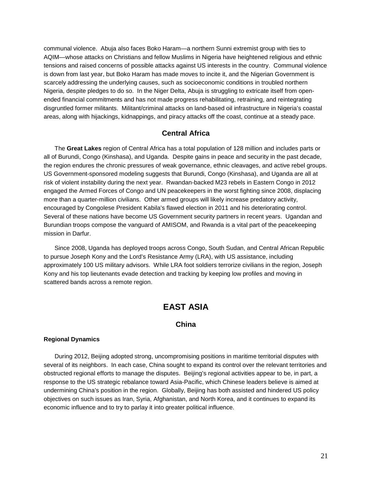communal violence. Abuja also faces Boko Haram—a northern Sunni extremist group with ties to AQIM—whose attacks on Christians and fellow Muslims in Nigeria have heightened religious and ethnic tensions and raised concerns of possible attacks against US interests in the country. Communal violence is down from last year, but Boko Haram has made moves to incite it, and the Nigerian Government is scarcely addressing the underlying causes, such as socioeconomic conditions in troubled northern Nigeria, despite pledges to do so. In the Niger Delta, Abuja is struggling to extricate itself from openended financial commitments and has not made progress rehabilitating, retraining, and reintegrating disgruntled former militants. Militant/criminal attacks on land-based oil infrastructure in Nigeria's coastal areas, along with hijackings, kidnappings, and piracy attacks off the coast, continue at a steady pace.

### **Central Africa**

The **Great Lakes** region of Central Africa has a total population of 128 million and includes parts or all of Burundi, Congo (Kinshasa), and Uganda. Despite gains in peace and security in the past decade, the region endures the chronic pressures of weak governance, ethnic cleavages, and active rebel groups. US Government-sponsored modeling suggests that Burundi, Congo (Kinshasa), and Uganda are all at risk of violent instability during the next year. Rwandan-backed M23 rebels in Eastern Congo in 2012 engaged the Armed Forces of Congo and UN peacekeepers in the worst fighting since 2008, displacing more than a quarter-million civilians. Other armed groups will likely increase predatory activity, encouraged by Congolese President Kabila's flawed election in 2011 and his deteriorating control. Several of these nations have become US Government security partners in recent years. Ugandan and Burundian troops compose the vanguard of AMISOM, and Rwanda is a vital part of the peacekeeping mission in Darfur.

Since 2008, Uganda has deployed troops across Congo, South Sudan, and Central African Republic to pursue Joseph Kony and the Lord's Resistance Army (LRA), with US assistance, including approximately 100 US military advisors. While LRA foot soldiers terrorize civilians in the region, Joseph Kony and his top lieutenants evade detection and tracking by keeping low profiles and moving in scattered bands across a remote region.

# **EAST ASIA**

## **China**

#### **Regional Dynamics**

During 2012, Beijing adopted strong, uncompromising positions in maritime territorial disputes with several of its neighbors. In each case, China sought to expand its control over the relevant territories and obstructed regional efforts to manage the disputes. Beijing's regional activities appear to be, in part, a response to the US strategic rebalance toward Asia-Pacific, which Chinese leaders believe is aimed at undermining China's position in the region. Globally, Beijing has both assisted and hindered US policy objectives on such issues as Iran, Syria, Afghanistan, and North Korea, and it continues to expand its economic influence and to try to parlay it into greater political influence.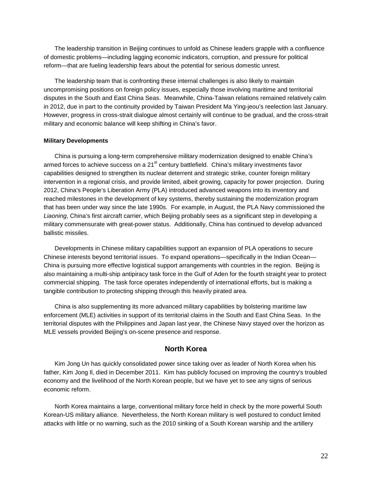The leadership transition in Beijing continues to unfold as Chinese leaders grapple with a confluence of domestic problems—including lagging economic indicators, corruption, and pressure for political reform—that are fueling leadership fears about the potential for serious domestic unrest.

The leadership team that is confronting these internal challenges is also likely to maintain uncompromising positions on foreign policy issues, especially those involving maritime and territorial disputes in the South and East China Seas. Meanwhile, China-Taiwan relations remained relatively calm in 2012, due in part to the continuity provided by Taiwan President Ma Ying-jeou's reelection last January. However, progress in cross-strait dialogue almost certainly will continue to be gradual, and the cross-strait military and economic balance will keep shifting in China's favor.

#### **Military Developments**

China is pursuing a long-term comprehensive military modernization designed to enable China's armed forces to achieve success on a 21<sup>st</sup> century battlefield. China's military investments favor capabilities designed to strengthen its nuclear deterrent and strategic strike, counter foreign military intervention in a regional crisis, and provide limited, albeit growing, capacity for power projection. During 2012, China's People's Liberation Army (PLA) introduced advanced weapons into its inventory and reached milestones in the development of key systems, thereby sustaining the modernization program that has been under way since the late 1990s. For example, in August, the PLA Navy commissioned the *Liaoning*, China's first aircraft carrier, which Beijing probably sees as a significant step in developing a military commensurate with great-power status. Additionally, China has continued to develop advanced ballistic missiles.

Developments in Chinese military capabilities support an expansion of PLA operations to secure Chinese interests beyond territorial issues. To expand operations—specifically in the Indian Ocean— China is pursuing more effective logistical support arrangements with countries in the region. Beijing is also maintaining a multi-ship antipiracy task force in the Gulf of Aden for the fourth straight year to protect commercial shipping. The task force operates independently of international efforts, but is making a tangible contribution to protecting shipping through this heavily pirated area.

China is also supplementing its more advanced military capabilities by bolstering maritime law enforcement (MLE) activities in support of its territorial claims in the South and East China Seas. In the territorial disputes with the Philippines and Japan last year, the Chinese Navy stayed over the horizon as MLE vessels provided Beijing's on-scene presence and response.

# **North Korea**

 Kim Jong Un has quickly consolidated power since taking over as leader of North Korea when his father, Kim Jong Il, died in December 2011. Kim has publicly focused on improving the country's troubled economy and the livelihood of the North Korean people, but we have yet to see any signs of serious economic reform.

 North Korea maintains a large, conventional military force held in check by the more powerful South Korean-US military alliance. Nevertheless, the North Korean military is well postured to conduct limited attacks with little or no warning, such as the 2010 sinking of a South Korean warship and the artillery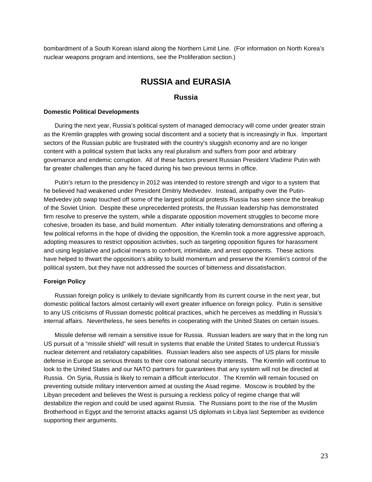bombardment of a South Korean island along the Northern Limit Line. (For information on North Korea's nuclear weapons program and intentions, see the Proliferation section.)

# **RUSSIA and EURASIA**

# **Russia**

#### **Domestic Political Developments**

During the next year, Russia's political system of managed democracy will come under greater strain as the Kremlin grapples with growing social discontent and a society that is increasingly in flux. Important sectors of the Russian public are frustrated with the country's sluggish economy and are no longer content with a political system that lacks any real pluralism and suffers from poor and arbitrary governance and endemic corruption. All of these factors present Russian President Vladimir Putin with far greater challenges than any he faced during his two previous terms in office.

Putin's return to the presidency in 2012 was intended to restore strength and vigor to a system that he believed had weakened under President Dmitriy Medvedev. Instead, antipathy over the Putin-Medvedev job swap touched off some of the largest political protests Russia has seen since the breakup of the Soviet Union. Despite these unprecedented protests, the Russian leadership has demonstrated firm resolve to preserve the system, while a disparate opposition movement struggles to become more cohesive, broaden its base, and build momentum. After initially tolerating demonstrations and offering a few political reforms in the hope of dividing the opposition, the Kremlin took a more aggressive approach, adopting measures to restrict opposition activities, such as targeting opposition figures for harassment and using legislative and judicial means to confront, intimidate, and arrest opponents. These actions have helped to thwart the opposition's ability to build momentum and preserve the Kremlin's control of the political system, but they have not addressed the sources of bitterness and dissatisfaction.

#### **Foreign Policy**

Russian foreign policy is unlikely to deviate significantly from its current course in the next year, but domestic political factors almost certainly will exert greater influence on foreign policy. Putin is sensitive to any US criticisms of Russian domestic political practices, which he perceives as meddling in Russia's internal affairs. Nevertheless, he sees benefits in cooperating with the United States on certain issues.

Missile defense will remain a sensitive issue for Russia. Russian leaders are wary that in the long run US pursuit of a "missile shield" will result in systems that enable the United States to undercut Russia's nuclear deterrent and retaliatory capabilities. Russian leaders also see aspects of US plans for missile defense in Europe as serious threats to their core national security interests. The Kremlin will continue to look to the United States and our NATO partners for guarantees that any system will not be directed at Russia. On Syria, Russia is likely to remain a difficult interlocutor. The Kremlin will remain focused on preventing outside military intervention aimed at ousting the Asad regime. Moscow is troubled by the Libyan precedent and believes the West is pursuing a reckless policy of regime change that will destabilize the region and could be used against Russia. The Russians point to the rise of the Muslim Brotherhood in Egypt and the terrorist attacks against US diplomats in Libya last September as evidence supporting their arguments.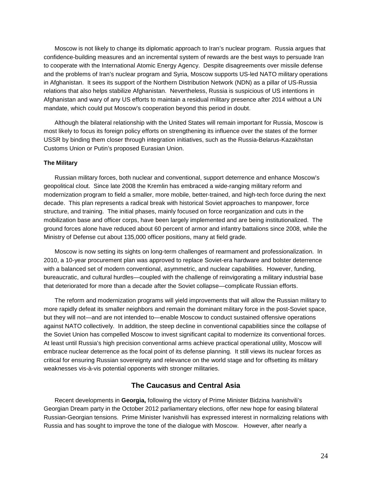Moscow is not likely to change its diplomatic approach to Iran's nuclear program. Russia argues that confidence-building measures and an incremental system of rewards are the best ways to persuade Iran to cooperate with the International Atomic Energy Agency. Despite disagreements over missile defense and the problems of Iran's nuclear program and Syria, Moscow supports US-led NATO military operations in Afghanistan. It sees its support of the Northern Distribution Network (NDN) as a pillar of US-Russia relations that also helps stabilize Afghanistan. Nevertheless, Russia is suspicious of US intentions in Afghanistan and wary of any US efforts to maintain a residual military presence after 2014 without a UN mandate, which could put Moscow's cooperation beyond this period in doubt.

Although the bilateral relationship with the United States will remain important for Russia, Moscow is most likely to focus its foreign policy efforts on strengthening its influence over the states of the former USSR by binding them closer through integration initiatives, such as the Russia-Belarus-Kazakhstan Customs Union or Putin's proposed Eurasian Union.

#### **The Military**

Russian military forces, both nuclear and conventional, support deterrence and enhance Moscow's geopolitical clout. Since late 2008 the Kremlin has embraced a wide-ranging military reform and modernization program to field a smaller, more mobile, better-trained, and high-tech force during the next decade. This plan represents a radical break with historical Soviet approaches to manpower, force structure, and training. The initial phases, mainly focused on force reorganization and cuts in the mobilization base and officer corps, have been largely implemented and are being institutionalized. The ground forces alone have reduced about 60 percent of armor and infantry battalions since 2008, while the Ministry of Defense cut about 135,000 officer positions, many at field grade.

Moscow is now setting its sights on long-term challenges of rearmament and professionalization. In 2010, a 10-year procurement plan was approved to replace Soviet-era hardware and bolster deterrence with a balanced set of modern conventional, asymmetric, and nuclear capabilities. However, funding, bureaucratic, and cultural hurdles—coupled with the challenge of reinvigorating a military industrial base that deteriorated for more than a decade after the Soviet collapse—complicate Russian efforts.

The reform and modernization programs will yield improvements that will allow the Russian military to more rapidly defeat its smaller neighbors and remain the dominant military force in the post-Soviet space, but they will not—and are not intended to—enable Moscow to conduct sustained offensive operations against NATO collectively. In addition, the steep decline in conventional capabilities since the collapse of the Soviet Union has compelled Moscow to invest significant capital to modernize its conventional forces. At least until Russia's high precision conventional arms achieve practical operational utility, Moscow will embrace nuclear deterrence as the focal point of its defense planning. It still views its nuclear forces as critical for ensuring Russian sovereignty and relevance on the world stage and for offsetting its military weaknesses vis-à-vis potential opponents with stronger militaries.

## **The Caucasus and Central Asia**

Recent developments in **Georgia,** following the victory of Prime Minister Bidzina Ivanishvili's Georgian Dream party in the October 2012 parliamentary elections, offer new hope for easing bilateral Russian-Georgian tensions. Prime Minister Ivanishvili has expressed interest in normalizing relations with Russia and has sought to improve the tone of the dialogue with Moscow. However, after nearly a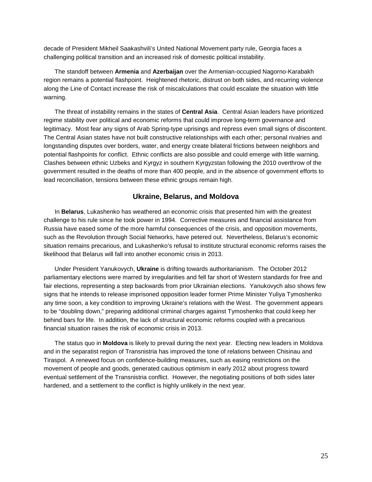decade of President Mikheil Saakashvili's United National Movement party rule, Georgia faces a challenging political transition and an increased risk of domestic political instability.

The standoff between **Armenia** and **Azerbaijan** over the Armenian-occupied Nagorno-Karabakh region remains a potential flashpoint. Heightened rhetoric, distrust on both sides, and recurring violence along the Line of Contact increase the risk of miscalculations that could escalate the situation with little warning.

The threat of instability remains in the states of **Central Asia**. Central Asian leaders have prioritized regime stability over political and economic reforms that could improve long-term governance and legitimacy. Most fear any signs of Arab Spring-type uprisings and repress even small signs of discontent. The Central Asian states have not built constructive relationships with each other; personal rivalries and longstanding disputes over borders, water, and energy create bilateral frictions between neighbors and potential flashpoints for conflict. Ethnic conflicts are also possible and could emerge with little warning. Clashes between ethnic Uzbeks and Kyrgyz in southern Kyrgyzstan following the 2010 overthrow of the government resulted in the deaths of more than 400 people, and in the absence of government efforts to lead reconciliation, tensions between these ethnic groups remain high.

### **Ukraine, Belarus, and Moldova**

In **Belarus**, Lukashenko has weathered an economic crisis that presented him with the greatest challenge to his rule since he took power in 1994. Corrective measures and financial assistance from Russia have eased some of the more harmful consequences of the crisis, and opposition movements, such as the Revolution through Social Networks, have petered out. Nevertheless, Belarus's economic situation remains precarious, and Lukashenko's refusal to institute structural economic reforms raises the likelihood that Belarus will fall into another economic crisis in 2013.

Under President Yanukovych, **Ukraine** is drifting towards authoritarianism. The October 2012 parliamentary elections were marred by irregularities and fell far short of Western standards for free and fair elections, representing a step backwards from prior Ukrainian elections. Yanukovych also shows few signs that he intends to release imprisoned opposition leader former Prime Minister Yuliya Tymoshenko any time soon, a key condition to improving Ukraine's relations with the West. The government appears to be "doubling down," preparing additional criminal charges against Tymoshenko that could keep her behind bars for life. In addition, the lack of structural economic reforms coupled with a precarious financial situation raises the risk of economic crisis in 2013.

The status quo in **Moldova** is likely to prevail during the next year. Electing new leaders in Moldova and in the separatist region of Transnistria has improved the tone of relations between Chisinau and Tiraspol. A renewed focus on confidence-building measures, such as easing restrictions on the movement of people and goods, generated cautious optimism in early 2012 about progress toward eventual settlement of the Transnistria conflict. However, the negotiating positions of both sides later hardened, and a settlement to the conflict is highly unlikely in the next year.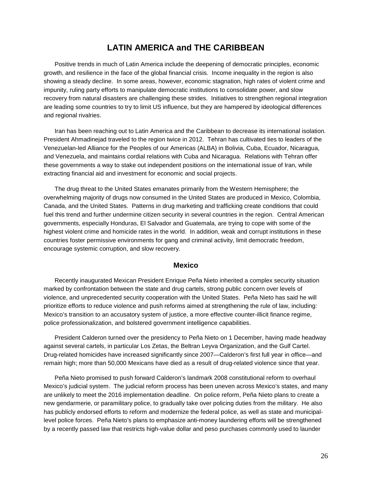# **LATIN AMERICA and THE CARIBBEAN**

Positive trends in much of Latin America include the deepening of democratic principles, economic growth, and resilience in the face of the global financial crisis. Income inequality in the region is also showing a steady decline. In some areas, however, economic stagnation, high rates of violent crime and impunity, ruling party efforts to manipulate democratic institutions to consolidate power, and slow recovery from natural disasters are challenging these strides. Initiatives to strengthen regional integration are leading some countries to try to limit US influence, but they are hampered by ideological differences and regional rivalries.

Iran has been reaching out to Latin America and the Caribbean to decrease its international isolation. President Ahmadinejad traveled to the region twice in 2012. Tehran has cultivated ties to leaders of the Venezuelan-led Alliance for the Peoples of our Americas (ALBA) in Bolivia, Cuba, Ecuador, Nicaragua, and Venezuela, and maintains cordial relations with Cuba and Nicaragua. Relations with Tehran offer these governments a way to stake out independent positions on the international issue of Iran, while extracting financial aid and investment for economic and social projects.

The drug threat to the United States emanates primarily from the Western Hemisphere; the overwhelming majority of drugs now consumed in the United States are produced in Mexico, Colombia, Canada, and the United States. Patterns in drug marketing and trafficking create conditions that could fuel this trend and further undermine citizen security in several countries in the region. Central American governments, especially Honduras, El Salvador and Guatemala, are trying to cope with some of the highest violent crime and homicide rates in the world. In addition, weak and corrupt institutions in these countries foster permissive environments for gang and criminal activity, limit democratic freedom, encourage systemic corruption, and slow recovery.

# **Mexico**

Recently inaugurated Mexican President Enrique Peña Nieto inherited a complex security situation marked by confrontation between the state and drug cartels, strong public concern over levels of violence, and unprecedented security cooperation with the United States. Peña Nieto has said he will prioritize efforts to reduce violence and push reforms aimed at strengthening the rule of law, including: Mexico's transition to an accusatory system of justice, a more effective counter-illicit finance regime, police professionalization, and bolstered government intelligence capabilities.

President Calderon turned over the presidency to Peña Nieto on 1 December, having made headway against several cartels, in particular Los Zetas, the Beltran Leyva Organization, and the Gulf Cartel. Drug-related homicides have increased significantly since 2007—Calderon's first full year in office—and remain high; more than 50,000 Mexicans have died as a result of drug-related violence since that year.

Peña Nieto promised to push forward Calderon's landmark 2008 constitutional reform to overhaul Mexico's judicial system. The judicial reform process has been uneven across Mexico's states, and many are unlikely to meet the 2016 implementation deadline. On police reform, Peña Nieto plans to create a new gendarmerie, or paramilitary police, to gradually take over policing duties from the military. He also has publicly endorsed efforts to reform and modernize the federal police, as well as state and municipallevel police forces. Peña Nieto's plans to emphasize anti-money laundering efforts will be strengthened by a recently passed law that restricts high-value dollar and peso purchases commonly used to launder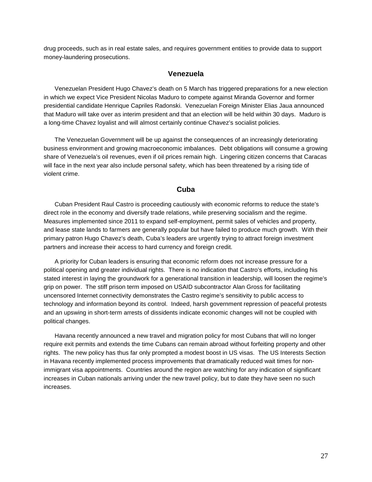drug proceeds, such as in real estate sales, and requires government entities to provide data to support money-laundering prosecutions.

## **Venezuela**

Venezuelan President Hugo Chavez's death on 5 March has triggered preparations for a new election in which we expect Vice President Nicolas Maduro to compete against Miranda Governor and former presidential candidate Henrique Capriles Radonski. Venezuelan Foreign Minister Elias Jaua announced that Maduro will take over as interim president and that an election will be held within 30 days. Maduro is a long-time Chavez loyalist and will almost certainly continue Chavez's socialist policies.

The Venezuelan Government will be up against the consequences of an increasingly deteriorating business environment and growing macroeconomic imbalances. Debt obligations will consume a growing share of Venezuela's oil revenues, even if oil prices remain high. Lingering citizen concerns that Caracas will face in the next year also include personal safety, which has been threatened by a rising tide of violent crime.

## **Cuba**

Cuban President Raul Castro is proceeding cautiously with economic reforms to reduce the state's direct role in the economy and diversify trade relations, while preserving socialism and the regime. Measures implemented since 2011 to expand self-employment, permit sales of vehicles and property, and lease state lands to farmers are generally popular but have failed to produce much growth. With their primary patron Hugo Chavez's death, Cuba's leaders are urgently trying to attract foreign investment partners and increase their access to hard currency and foreign credit.

A priority for Cuban leaders is ensuring that economic reform does not increase pressure for a political opening and greater individual rights. There is no indication that Castro's efforts, including his stated interest in laying the groundwork for a generational transition in leadership, will loosen the regime's grip on power. The stiff prison term imposed on USAID subcontractor Alan Gross for facilitating uncensored Internet connectivity demonstrates the Castro regime's sensitivity to public access to technology and information beyond its control. Indeed, harsh government repression of peaceful protests and an upswing in short-term arrests of dissidents indicate economic changes will not be coupled with political changes.

Havana recently announced a new travel and migration policy for most Cubans that will no longer require exit permits and extends the time Cubans can remain abroad without forfeiting property and other rights. The new policy has thus far only prompted a modest boost in US visas. The US Interests Section in Havana recently implemented process improvements that dramatically reduced wait times for nonimmigrant visa appointments. Countries around the region are watching for any indication of significant increases in Cuban nationals arriving under the new travel policy, but to date they have seen no such increases.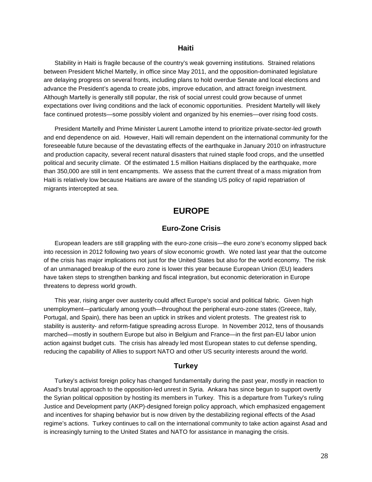## **Haiti**

Stability in Haiti is fragile because of the country's weak governing institutions. Strained relations between President Michel Martelly, in office since May 2011, and the opposition-dominated legislature are delaying progress on several fronts, including plans to hold overdue Senate and local elections and advance the President's agenda to create jobs, improve education, and attract foreign investment. Although Martelly is generally still popular, the risk of social unrest could grow because of unmet expectations over living conditions and the lack of economic opportunities. President Martelly will likely face continued protests—some possibly violent and organized by his enemies—over rising food costs.

President Martelly and Prime Minister Laurent Lamothe intend to prioritize private-sector-led growth and end dependence on aid. However, Haiti will remain dependent on the international community for the foreseeable future because of the devastating effects of the earthquake in January 2010 on infrastructure and production capacity, several recent natural disasters that ruined staple food crops, and the unsettled political and security climate. Of the estimated 1.5 million Haitians displaced by the earthquake, more than 350,000 are still in tent encampments. We assess that the current threat of a mass migration from Haiti is relatively low because Haitians are aware of the standing US policy of rapid repatriation of migrants intercepted at sea.

# **EUROPE**

# **Euro-Zone Crisis**

European leaders are still grappling with the euro-zone crisis—the euro zone's economy slipped back into recession in 2012 following two years of slow economic growth. We noted last year that the outcome of the crisis has major implications not just for the United States but also for the world economy. The risk of an unmanaged breakup of the euro zone is lower this year because European Union (EU) leaders have taken steps to strengthen banking and fiscal integration, but economic deterioration in Europe threatens to depress world growth.

This year, rising anger over austerity could affect Europe's social and political fabric. Given high unemployment—particularly among youth—throughout the peripheral euro-zone states (Greece, Italy, Portugal, and Spain), there has been an uptick in strikes and violent protests. The greatest risk to stability is austerity- and reform-fatigue spreading across Europe. In November 2012, tens of thousands marched—mostly in southern Europe but also in Belgium and France—in the first pan-EU labor union action against budget cuts. The crisis has already led most European states to cut defense spending, reducing the capability of Allies to support NATO and other US security interests around the world.

### **Turkey**

Turkey's activist foreign policy has changed fundamentally during the past year, mostly in reaction to Asad's brutal approach to the opposition-led unrest in Syria. Ankara has since begun to support overtly the Syrian political opposition by hosting its members in Turkey. This is a departure from Turkey's ruling Justice and Development party (AKP)-designed foreign policy approach, which emphasized engagement and incentives for shaping behavior but is now driven by the destabilizing regional effects of the Asad regime's actions. Turkey continues to call on the international community to take action against Asad and is increasingly turning to the United States and NATO for assistance in managing the crisis.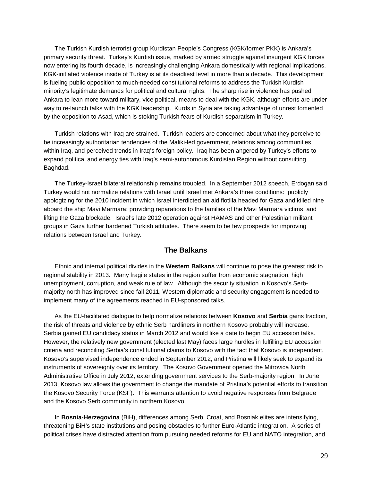The Turkish Kurdish terrorist group Kurdistan People's Congress (KGK/former PKK) is Ankara's primary security threat. Turkey's Kurdish issue, marked by armed struggle against insurgent KGK forces now entering its fourth decade, is increasingly challenging Ankara domestically with regional implications. KGK-initiated violence inside of Turkey is at its deadliest level in more than a decade. This development is fueling public opposition to much-needed constitutional reforms to address the Turkish Kurdish minority's legitimate demands for political and cultural rights. The sharp rise in violence has pushed Ankara to lean more toward military, vice political, means to deal with the KGK, although efforts are under way to re-launch talks with the KGK leadership. Kurds in Syria are taking advantage of unrest fomented by the opposition to Asad, which is stoking Turkish fears of Kurdish separatism in Turkey.

Turkish relations with Iraq are strained. Turkish leaders are concerned about what they perceive to be increasingly authoritarian tendencies of the Maliki-led government, relations among communities within Iraq, and perceived trends in Iraq's foreign policy. Iraq has been angered by Turkey's efforts to expand political and energy ties with Iraq's semi-autonomous Kurdistan Region without consulting Baghdad.

The Turkey-Israel bilateral relationship remains troubled. In a September 2012 speech, Erdogan said Turkey would not normalize relations with Israel until Israel met Ankara's three conditions: publicly apologizing for the 2010 incident in which Israel interdicted an aid flotilla headed for Gaza and killed nine aboard the ship Mavi Marmara; providing reparations to the families of the Mavi Marmara victims; and lifting the Gaza blockade. Israel's late 2012 operation against HAMAS and other Palestinian militant groups in Gaza further hardened Turkish attitudes. There seem to be few prospects for improving relations between Israel and Turkey.

# **The Balkans**

Ethnic and internal political divides in the **Western Balkans** will continue to pose the greatest risk to regional stability in 2013. Many fragile states in the region suffer from economic stagnation, high unemployment, corruption, and weak rule of law. Although the security situation in Kosovo's Serbmajority north has improved since fall 2011, Western diplomatic and security engagement is needed to implement many of the agreements reached in EU-sponsored talks.

As the EU-facilitated dialogue to help normalize relations between **Kosovo** and **Serbia** gains traction, the risk of threats and violence by ethnic Serb hardliners in northern Kosovo probably will increase. Serbia gained EU candidacy status in March 2012 and would like a date to begin EU accession talks. However, the relatively new government (elected last May) faces large hurdles in fulfilling EU accession criteria and reconciling Serbia's constitutional claims to Kosovo with the fact that Kosovo is independent. Kosovo's supervised independence ended in September 2012, and Pristina will likely seek to expand its instruments of sovereignty over its territory. The Kosovo Government opened the Mitrovica North Administrative Office in July 2012, extending government services to the Serb-majority region. In June 2013, Kosovo law allows the government to change the mandate of Pristina's potential efforts to transition the Kosovo Security Force (KSF). This warrants attention to avoid negative responses from Belgrade and the Kosovo Serb community in northern Kosovo.

In **Bosnia-Herzegovina** (BiH), differences among Serb, Croat, and Bosniak elites are intensifying, threatening BiH's state institutions and posing obstacles to further Euro-Atlantic integration. A series of political crises have distracted attention from pursuing needed reforms for EU and NATO integration, and